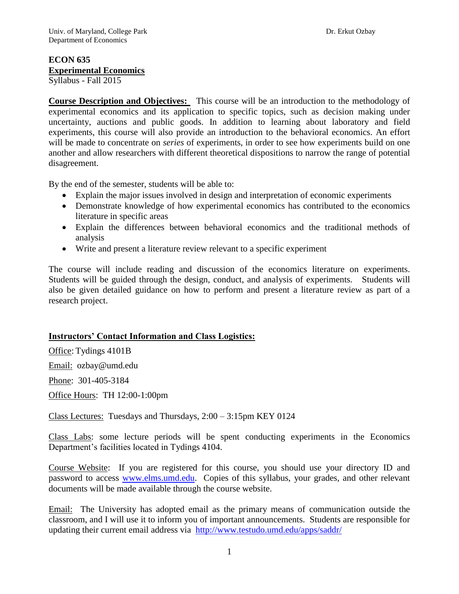# **ECON 635 Experimental Economics**

Syllabus - Fall 2015

**Course Description and Objectives:** This course will be an introduction to the methodology of experimental economics and its application to specific topics, such as decision making under uncertainty, auctions and public goods. In addition to learning about laboratory and field experiments, this course will also provide an introduction to the behavioral economics. An effort will be made to concentrate on *series* of experiments, in order to see how experiments build on one another and allow researchers with different theoretical dispositions to narrow the range of potential disagreement.

By the end of the semester, students will be able to:

- Explain the major issues involved in design and interpretation of economic experiments
- Demonstrate knowledge of how experimental economics has contributed to the economics literature in specific areas
- Explain the differences between behavioral economics and the traditional methods of analysis
- Write and present a literature review relevant to a specific experiment

The course will include reading and discussion of the economics literature on experiments. Students will be guided through the design, conduct, and analysis of experiments. Students will also be given detailed guidance on how to perform and present a literature review as part of a research project.

# **Instructors' Contact Information and Class Logistics:**

Office: Tydings 4101B Email: ozbay@umd.edu

Phone: 301-405-3184

Office Hours: TH 12:00-1:00pm

Class Lectures: Tuesdays and Thursdays, 2:00 – 3:15pm KEY 0124

Class Labs: some lecture periods will be spent conducting experiments in the Economics Department's facilities located in Tydings 4104.

Course Website: If you are registered for this course, you should use your directory ID and password to access [www.elms.umd.edu.](http://www.elms.umd.edu/) Copies of this syllabus, your grades, and other relevant documents will be made available through the course website.

Email: The University has adopted email as the primary means of communication outside the classroom, and I will use it to inform you of important announcements. Students are responsible for updating their current email address via <http://www.testudo.umd.edu/apps/saddr/>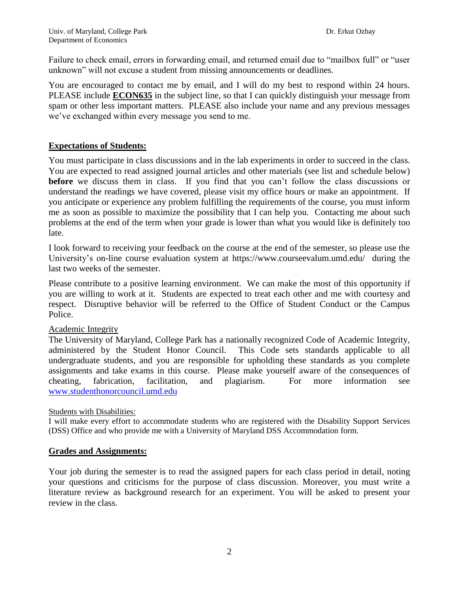Failure to check email, errors in forwarding email, and returned email due to "mailbox full" or "user unknown" will not excuse a student from missing announcements or deadlines.

You are encouraged to contact me by email, and I will do my best to respond within 24 hours. PLEASE include **ECON635** in the subject line, so that I can quickly distinguish your message from spam or other less important matters. PLEASE also include your name and any previous messages we've exchanged within every message you send to me.

## **Expectations of Students:**

You must participate in class discussions and in the lab experiments in order to succeed in the class. You are expected to read assigned journal articles and other materials (see list and schedule below) **before** we discuss them in class. If you find that you can't follow the class discussions or understand the readings we have covered, please visit my office hours or make an appointment. If you anticipate or experience any problem fulfilling the requirements of the course, you must inform me as soon as possible to maximize the possibility that I can help you. Contacting me about such problems at the end of the term when your grade is lower than what you would like is definitely too late.

I look forward to receiving your feedback on the course at the end of the semester, so please use the University's on-line course evaluation system at https://www.courseevalum.umd.edu/ during the last two weeks of the semester.

Please contribute to a positive learning environment. We can make the most of this opportunity if you are willing to work at it. Students are expected to treat each other and me with courtesy and respect. Disruptive behavior will be referred to the Office of Student Conduct or the Campus Police.

### Academic Integrity

The University of Maryland, College Park has a nationally recognized Code of Academic Integrity, administered by the Student Honor Council. This Code sets standards applicable to all undergraduate students, and you are responsible for upholding these standards as you complete assignments and take exams in this course. Please make yourself aware of the consequences of cheating, fabrication, facilitation, and plagiarism. For more information see [www.studenthonorcouncil.umd.edu](http://www.studenthonorcouncil.umd.edu/)

### Students with Disabilities:

I will make every effort to accommodate students who are registered with the Disability Support Services (DSS) Office and who provide me with a University of Maryland DSS Accommodation form.

### **Grades and Assignments:**

Your job during the semester is to read the assigned papers for each class period in detail, noting your questions and criticisms for the purpose of class discussion. Moreover, you must write a literature review as background research for an experiment. You will be asked to present your review in the class.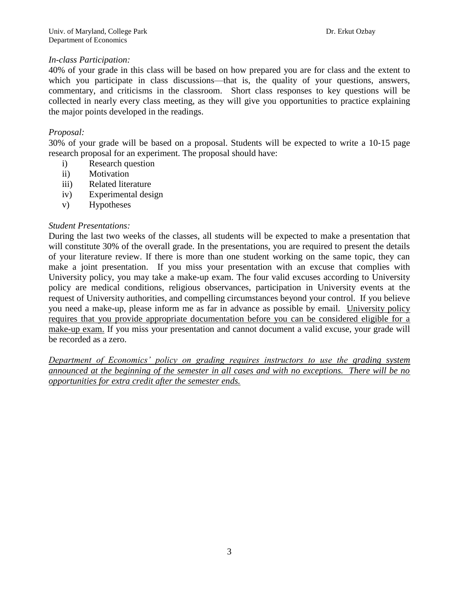# *In-class Participation:*

40% of your grade in this class will be based on how prepared you are for class and the extent to which you participate in class discussions—that is, the quality of your questions, answers, commentary, and criticisms in the classroom. Short class responses to key questions will be collected in nearly every class meeting, as they will give you opportunities to practice explaining the major points developed in the readings.

# *Proposal:*

30% of your grade will be based on a proposal. Students will be expected to write a 10‐15 page research proposal for an experiment. The proposal should have:

- i) Research question
- ii) Motivation
- iii) Related literature
- iv) Experimental design
- v) Hypotheses

### *Student Presentations:*

During the last two weeks of the classes, all students will be expected to make a presentation that will constitute 30% of the overall grade. In the presentations, you are required to present the details of your literature review. If there is more than one student working on the same topic, they can make a joint presentation. If you miss your presentation with an excuse that complies with University policy, you may take a make-up exam. The four valid excuses according to University policy are medical conditions, religious observances, participation in University events at the request of University authorities, and compelling circumstances beyond your control. If you believe you need a make-up, please inform me as far in advance as possible by email. University policy requires that you provide appropriate documentation before you can be considered eligible for a make-up exam. If you miss your presentation and cannot document a valid excuse, your grade will be recorded as a zero.

*Department of Economics' policy on grading requires instructors to use the grading system announced at the beginning of the semester in all cases and with no exceptions. There will be no opportunities for extra credit after the semester ends.*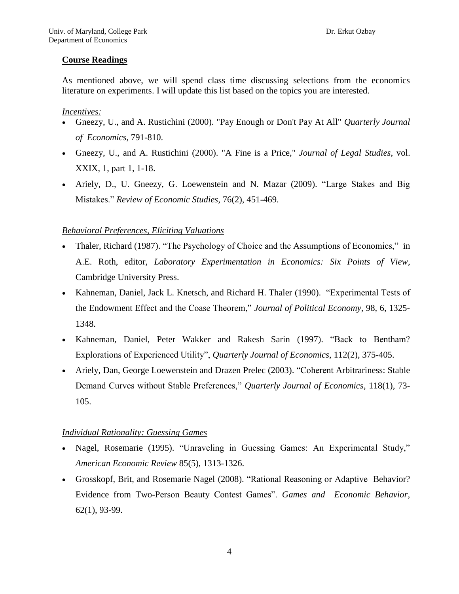# **Course Readings**

As mentioned above, we will spend class time discussing selections from the economics literature on experiments. I will update this list based on the topics you are interested.

### *Incentives:*

- Gneezy, U., and A. Rustichini (2000). "Pay Enough or Don't Pay At All" *Quarterly Journal of Economics*, 791-810.
- Gneezy, U., and A. Rustichini (2000). "A Fine is a Price," *Journal of Legal Studies*, vol. XXIX, 1, part 1, 1-18.
- Ariely, D., U. Gneezy, G. Loewenstein and N. Mazar (2009). "Large Stakes and Big Mistakes." *Review of Economic Studies,* 76(2), 451-469.

# *Behavioral Preferences, Eliciting Valuations*

- Thaler, Richard (1987). "The Psychology of Choice and the Assumptions of Economics," in A.E. Roth, editor, *Laboratory Experimentation in Economics: Six Points of View*, Cambridge University Press.
- Kahneman, Daniel, Jack L. Knetsch, and Richard H. Thaler (1990). "Experimental Tests of the Endowment Effect and the Coase Theorem," *Journal of Political Economy*, 98, 6, 1325- 1348.
- Kahneman, Daniel, Peter Wakker and Rakesh Sarin (1997). "Back to Bentham? Explorations of Experienced Utility", *Quarterly Journal of Economics*, 112(2), 375-405.
- Ariely, Dan, George Loewenstein and Drazen Prelec (2003). "Coherent Arbitrariness: Stable Demand Curves without Stable Preferences," *Quarterly Journal of Economics*, 118(1), 73- 105.

# *Individual Rationality: Guessing Games*

- Nagel, Rosemarie (1995). "Unraveling in Guessing Games: An Experimental Study," *American Economic Review* 85(5), 1313-1326.
- Grosskopf, Brit, and Rosemarie Nagel (2008). "Rational Reasoning or Adaptive Behavior? Evidence from Two-Person Beauty Contest Games". *Games and Economic Behavior,* 62(1), 93-99.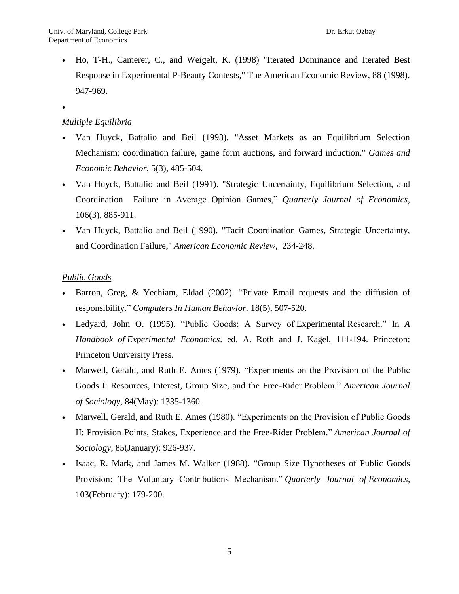- Ho, T-H., Camerer, C., and Weigelt, K. (1998) "Iterated Dominance and Iterated Best Response in Experimental P-Beauty Contests," The American Economic Review, 88 (1998), 947-969.
- $\bullet$

# *Multiple Equilibria*

- Van Huyck, Battalio and Beil (1993). "Asset Markets as an Equilibrium Selection Mechanism: coordination failure, game form auctions, and forward induction." *Games and Economic Behavior*, 5(3), 485-504.
- Van Huyck, Battalio and Beil (1991). "Strategic Uncertainty, Equilibrium Selection, and Coordination Failure in Average Opinion Games," *Quarterly Journal of Economics*, 106(3), 885-911.
- Van Huyck, Battalio and Beil (1990). "Tacit Coordination Games, Strategic Uncertainty, and Coordination Failure," *American Economic Review*, 234-248.

### *Public Goods*

- Barron, Greg, & Yechiam, Eldad (2002). "Private Email requests and the diffusion of responsibility." *Computers In Human Behavior*. 18(5), 507-520.
- Ledyard, John O. (1995). "Public Goods: A Survey of Experimental Research." In *A Handbook of Experimental Economics*. ed. A. Roth and J. Kagel, 111-194. Princeton: Princeton University Press.
- Marwell, Gerald, and Ruth E. Ames (1979). "Experiments on the Provision of the Public Goods I: Resources, Interest, Group Size, and the Free-Rider Problem." *American Journal of Sociology*, 84(May): 1335-1360.
- Marwell, Gerald, and Ruth E. Ames (1980). "Experiments on the Provision of Public Goods II: Provision Points, Stakes, Experience and the Free-Rider Problem." *American Journal of Sociology*, 85(January): 926-937.
- Isaac, R. Mark, and James M. Walker (1988). "Group Size Hypotheses of Public Goods Provision: The Voluntary Contributions Mechanism." *Quarterly Journal of Economics*, 103(February): 179-200.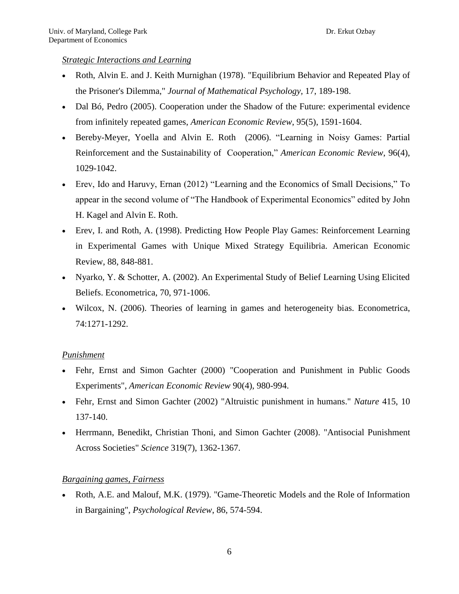### *Strategic Interactions and Learning*

- Roth, Alvin E. and J. Keith Murnighan (1978). "Equilibrium Behavior and Repeated Play of the Prisoner's Dilemma," *Journal of Mathematical Psychology,* 17, 189-198.
- Dal Bó, Pedro (2005). Cooperation under the Shadow of the Future: experimental evidence from infinitely repeated games, *American Economic Review*, 95(5), 1591-1604.
- Bereby-Meyer, Yoella and Alvin E. Roth (2006). "Learning in Noisy Games: Partial Reinforcement and the Sustainability of Cooperation," *American Economic Review*, 96(4), 1029-1042.
- Erev, Ido and Haruvy, Ernan (2012) "Learning and the Economics of Small Decisions," To appear in the second volume of "The Handbook of Experimental Economics" edited by John H. Kagel and Alvin E. Roth.
- Erev, I. and Roth, A. (1998). Predicting How People Play Games: Reinforcement Learning in Experimental Games with Unique Mixed Strategy Equilibria. American Economic Review, 88, 848-881.
- Nyarko, Y. & Schotter, A. (2002). An Experimental Study of Belief Learning Using Elicited Beliefs. Econometrica, 70, 971-1006.
- Wilcox, N. (2006). Theories of learning in games and heterogeneity bias. Econometrica, 74:1271-1292.

# *Punishment*

- Fehr, Ernst and Simon Gachter (2000) "Cooperation and Punishment in Public Goods Experiments", *American Economic Review* 90(4), 980-994.
- Fehr, Ernst and Simon Gachter (2002) "Altruistic punishment in humans." *Nature* 415, 10 137-140.
- Herrmann, Benedikt, Christian Thoni, and Simon Gachter (2008). "Antisocial Punishment Across Societies" *Science* 319(7), 1362-1367.

# *Bargaining games, Fairness*

 Roth, A.E. and Malouf, M.K. (1979). "Game-Theoretic Models and the Role of Information in Bargaining", *Psychological Review*, 86, 574-594.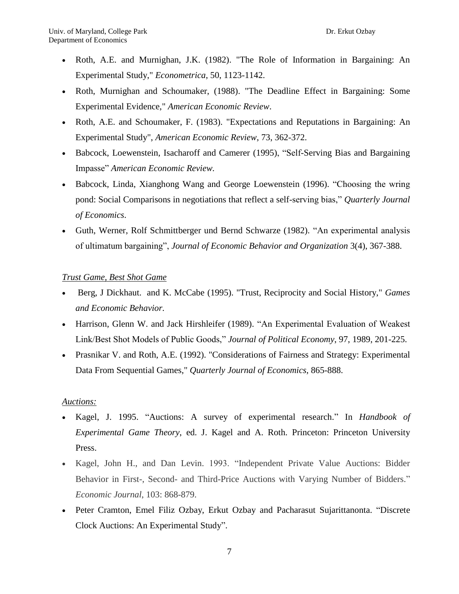- Roth, A.E. and Murnighan, J.K. (1982). "The Role of Information in Bargaining: An Experimental Study," *Econometrica*, 50, 1123-1142.
- Roth, Murnighan and Schoumaker, (1988). "The Deadline Effect in Bargaining: Some Experimental Evidence," *American Economic Review*.
- Roth, A.E. and Schoumaker, F. (1983). "Expectations and Reputations in Bargaining: An Experimental Study", *American Economic Review*, 73, 362-372.
- Babcock, Loewenstein, Isacharoff and Camerer (1995), "Self-Serving Bias and Bargaining Impasse" *American Economic Review.*
- Babcock, Linda, Xianghong Wang and George Loewenstein (1996). "Choosing the wring pond: Social Comparisons in negotiations that reflect a self-serving bias," *Quarterly Journal of Economics*.
- Guth, Werner, Rolf Schmittberger und Bernd Schwarze (1982). "An experimental analysis of ultimatum bargaining", *Journal of Economic Behavior and Organization* 3(4), 367-388.

# *Trust Game, Best Shot Game*

- Berg, J Dickhaut. and K. McCabe (1995). "Trust, Reciprocity and Social History," *Games and Economic Behavior.*
- Harrison, Glenn W. and Jack Hirshleifer (1989). "An Experimental Evaluation of Weakest Link/Best Shot Models of Public Goods," *Journal of Political Economy*, 97, 1989, 201-225.
- Prasnikar V. and Roth, A.E. (1992). "Considerations of Fairness and Strategy: Experimental Data From Sequential Games," *Quarterly Journal of Economics*, 865-888.

### *Auctions:*

- Kagel, J. 1995. "Auctions: A survey of experimental research." In *Handbook of Experimental Game Theory*, ed. J. Kagel and A. Roth. Princeton: Princeton University Press.
- Kagel, John H., and Dan Levin. 1993. "Independent Private Value Auctions: Bidder Behavior in First-, Second- and Third-Price Auctions with Varying Number of Bidders." *Economic Journal*, 103: 868-879.
- Peter Cramton, Emel Filiz Ozbay, Erkut Ozbay and Pacharasut Sujarittanonta. "Discrete Clock Auctions: An Experimental Study".